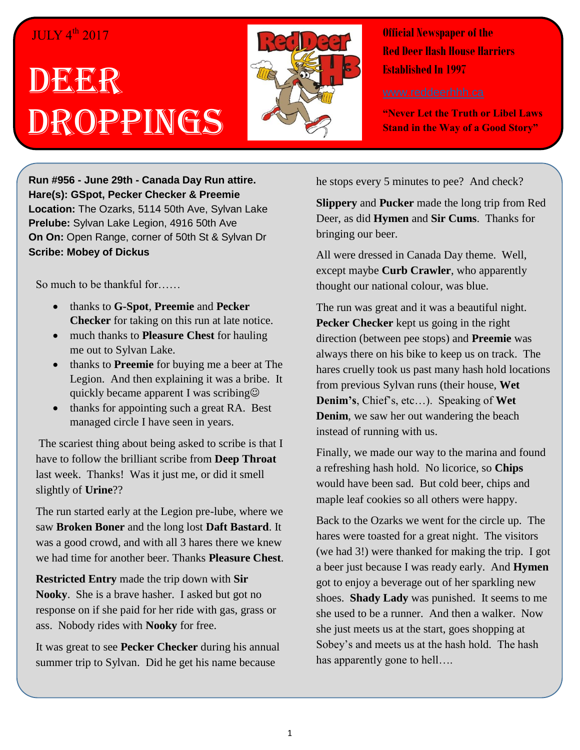## $JULY 4<sup>th</sup> 2017$

## DEER Droppings



**Official Newspaper of the Red Deer Hash House Harriers Established In 1997** 

**"Never Let the Truth or Libel Laws Stand in the Way of a Good Story"**

**Run #956 - June 29th - Canada Day Run attire. Hare(s): GSpot, Pecker Checker & Preemie Location:** The Ozarks, 5114 50th Ave, Sylvan Lake **Prelube:** Sylvan Lake Legion, 4916 50th Ave **On On:** Open Range, corner of 50th St & Sylvan Dr **Scribe: Mobey of Dickus**

So much to be thankful for……

- thanks to **G-Spot**, **Preemie** and **Pecker Checker** for taking on this run at late notice.
- much thanks to **Pleasure Chest** for hauling me out to Sylvan Lake.
- thanks to **Preemie** for buying me a beer at The Legion. And then explaining it was a bribe. It quickly became apparent I was scribing
- thanks for appointing such a great RA. Best managed circle I have seen in years.

The scariest thing about being asked to scribe is that I have to follow the brilliant scribe from **Deep Throat** last week. Thanks! Was it just me, or did it smell slightly of **Urine**??

The run started early at the Legion pre-lube, where we saw **Broken Boner** and the long lost **Daft Bastard**. It was a good crowd, and with all 3 hares there we knew we had time for another beer. Thanks **Pleasure Chest**.

**Restricted Entry** made the trip down with **Sir Nooky**. She is a brave hasher. I asked but got no response on if she paid for her ride with gas, grass or ass. Nobody rides with **Nooky** for free.

It was great to see **Pecker Checker** during his annual summer trip to Sylvan. Did he get his name because

he stops every 5 minutes to pee? And check?

**Slippery** and **Pucker** made the long trip from Red Deer, as did **Hymen** and **Sir Cums**. Thanks for bringing our beer.

All were dressed in Canada Day theme. Well, except maybe **Curb Crawler**, who apparently thought our national colour, was blue.

The run was great and it was a beautiful night. **Pecker Checker** kept us going in the right direction (between pee stops) and **Preemie** was always there on his bike to keep us on track. The hares cruelly took us past many hash hold locations from previous Sylvan runs (their house, **Wet Denim's**, Chief's, etc…). Speaking of **Wet Denim**, we saw her out wandering the beach instead of running with us.

Finally, we made our way to the marina and found a refreshing hash hold. No licorice, so **Chips** would have been sad. But cold beer, chips and maple leaf cookies so all others were happy.

Back to the Ozarks we went for the circle up. The hares were toasted for a great night. The visitors (we had 3!) were thanked for making the trip. I got a beer just because I was ready early. And **Hymen** got to enjoy a beverage out of her sparkling new shoes. **Shady Lady** was punished. It seems to me she used to be a runner. And then a walker. Now she just meets us at the start, goes shopping at Sobey's and meets us at the hash hold. The hash has apparently gone to hell….